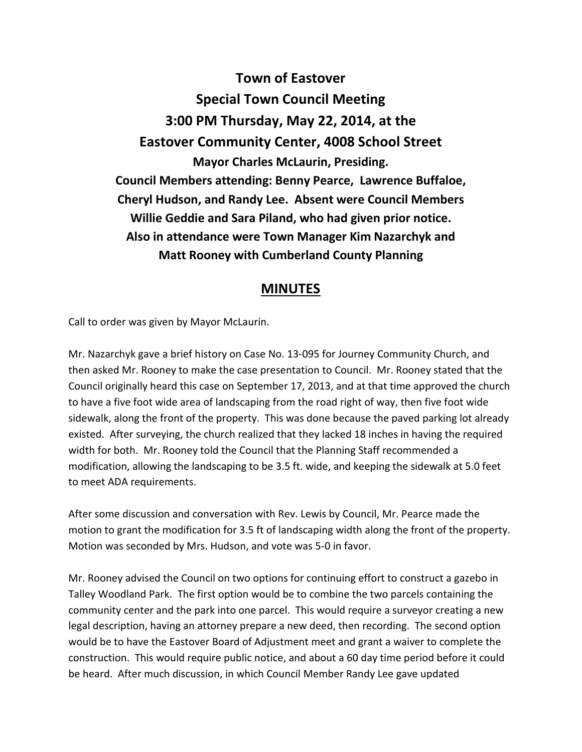**Town of Eastover Special Town Council Meeting 3:00 PM Thursday, May 22, 2014, at the Eastover Community Center, 4008 School Street Mayor Charles McLaurin, Presiding. Council Members attending: Benny Pearce, Lawrence Buffaloe, Cheryl Hudson, and Randy Lee. Absent were Council Members Willie Geddie and Sara Piland, who had given prior notice. Also in attendance were Town Manager Kim Nazarchyk and Matt Rooney with Cumberland County Planning** 

## **MINUTES**

Call to order was given by Mayor McLaurin.

Mr. Nazarchyk gave a brief history on Case No. 13-095 for Journey Community Church, and then asked Mr. Rooney to make the case presentation to Council. Mr. Rooney stated that the Council originally heard this case on September 17, 2013, and at that time approved the church to have a five foot wide area of landscaping from the road right of way, then five foot wide sidewalk, along the front of the property. This was done because the paved parking lot already existed. After surveying, the church realized that they lacked 18 inches in having the required width for both. Mr. Rooney told the Council that the Planning Staff recommended a modification, allowing the landscaping to be 3.5 ft. wide, and keeping the sidewalk at 5.0 feet to meet ADA requirements.

After some discussion and conversation with Rev. Lewis by Council, Mr. Pearce made the motion to grant the modification for 3.5 ft of landscaping width along the front of the property. Motion was seconded by Mrs. Hudson, and vote was 5-0 in favor.

Mr. Rooney advised the Council on two options for continuing effort to construct a gazebo in Talley Woodland Park. The first option would be to combine the two parcels containing the community center and the park into one parcel. This would require a surveyor creating a new legal description, having an attorney prepare a new deed, then recording. The second option would be to have the Eastover Board of Adjustment meet and grant a waiver to complete the construction. This would require public notice, and about a 60 day time period before it could be heard. After much discussion, in which Council Member Randy Lee gave updated